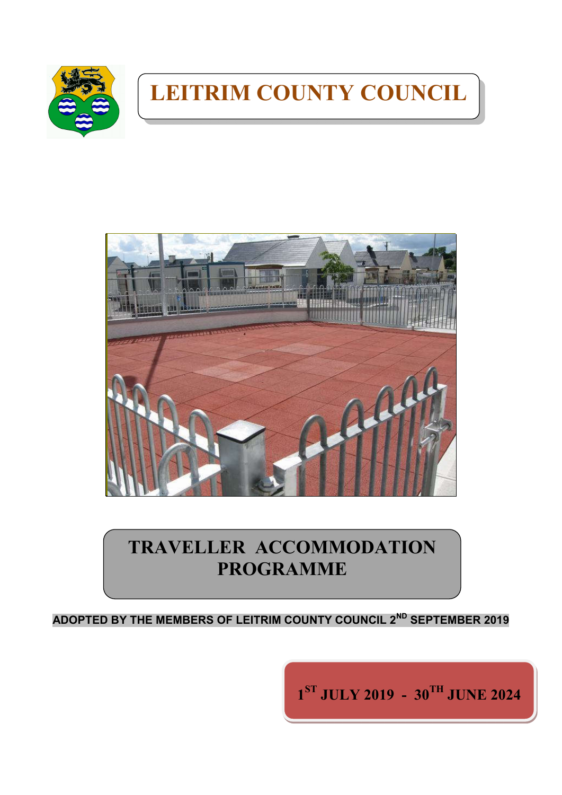

# **LEITRIM COUNTY COUNCIL**



## **TRAVELLER ACCOMMODATION PROGRAMME**

**ADOPTED BY THE MEMBERS OF LEITRIM COUNTY COUNCIL 2ND SEPTEMBER 2019**

**1ST JULY 2019 - 30TH JUNE 2024**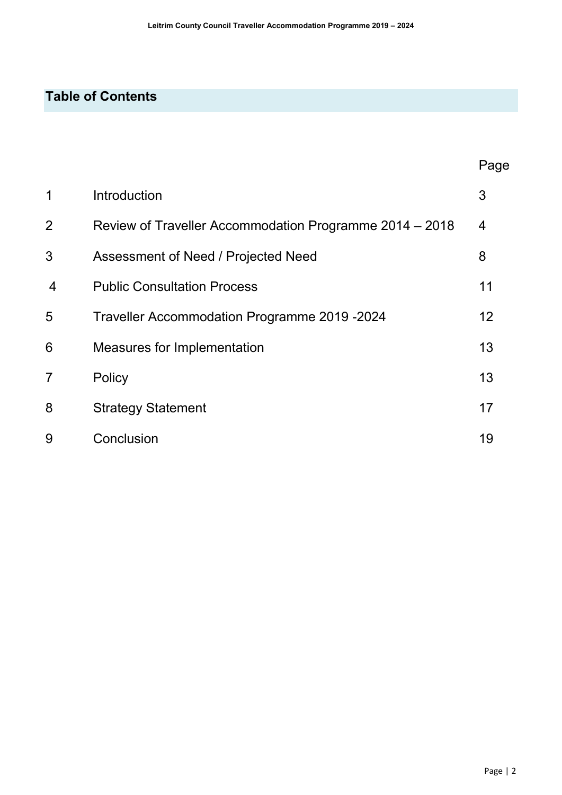## **Table of Contents**

|                |                                                         | Page |
|----------------|---------------------------------------------------------|------|
| 1              | Introduction                                            | 3    |
| $\overline{2}$ | Review of Traveller Accommodation Programme 2014 – 2018 | 4    |
| 3              | Assessment of Need / Projected Need                     | 8    |
| $\overline{4}$ | <b>Public Consultation Process</b>                      | 11   |
| 5              | Traveller Accommodation Programme 2019 -2024            | 12   |
| 6              | Measures for Implementation                             | 13   |
| $\overline{7}$ | Policy                                                  | 13   |
| 8              | <b>Strategy Statement</b>                               | 17   |
| 9              | Conclusion                                              | 19   |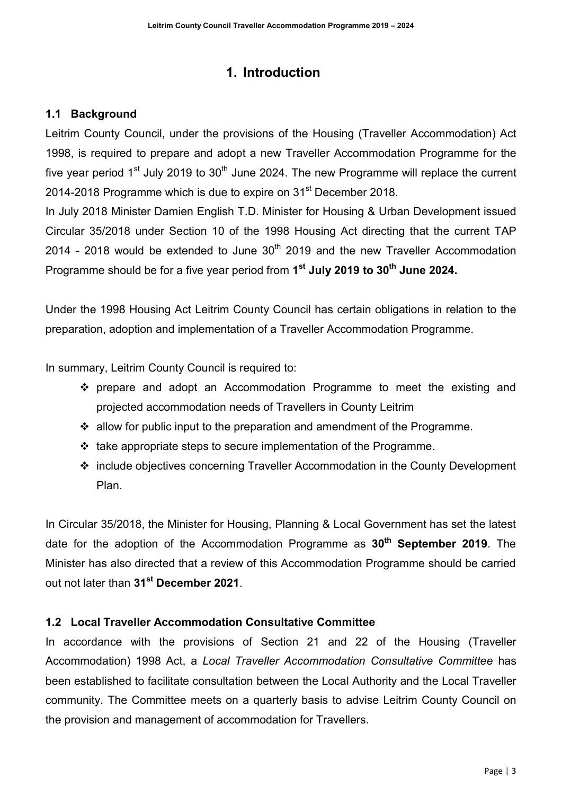## **1. Introduction**

#### **1.1 Background**

Leitrim County Council, under the provisions of the Housing (Traveller Accommodation) Act 1998, is required to prepare and adopt a new Traveller Accommodation Programme for the five year period  $1<sup>st</sup>$  July 2019 to 30<sup>th</sup> June 2024. The new Programme will replace the current 2014-2018 Programme which is due to expire on 31<sup>st</sup> December 2018.

In July 2018 Minister Damien English T.D. Minister for Housing & Urban Development issued Circular 35/2018 under Section 10 of the 1998 Housing Act directing that the current TAP 2014 - 2018 would be extended to June  $30<sup>th</sup>$  2019 and the new Traveller Accommodation Programme should be for a five year period from **1st July 2019 to 30th June 2024.**

Under the 1998 Housing Act Leitrim County Council has certain obligations in relation to the preparation, adoption and implementation of a Traveller Accommodation Programme.

In summary, Leitrim County Council is required to:

- prepare and adopt an Accommodation Programme to meet the existing and projected accommodation needs of Travellers in County Leitrim
- $\cdot$  allow for public input to the preparation and amendment of the Programme.
- $\cdot$  take appropriate steps to secure implementation of the Programme.
- include objectives concerning Traveller Accommodation in the County Development Plan.

In Circular 35/2018, the Minister for Housing, Planning & Local Government has set the latest date for the adoption of the Accommodation Programme as **30th September 2019**. The Minister has also directed that a review of this Accommodation Programme should be carried out not later than **31st December 2021**.

#### **1.2 Local Traveller Accommodation Consultative Committee**

In accordance with the provisions of Section 21 and 22 of the Housing (Traveller Accommodation) 1998 Act, a *Local Traveller Accommodation Consultative Committee* has been established to facilitate consultation between the Local Authority and the Local Traveller community. The Committee meets on a quarterly basis to advise Leitrim County Council on the provision and management of accommodation for Travellers.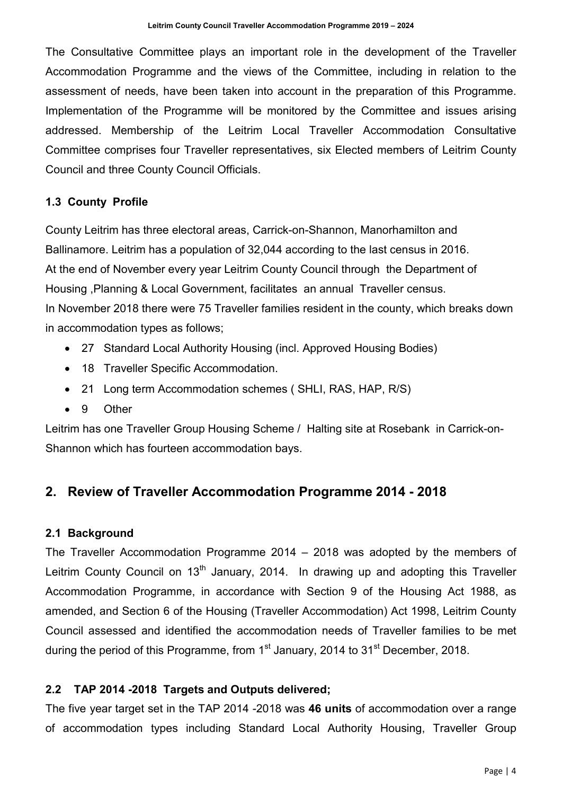The Consultative Committee plays an important role in the development of the Traveller Accommodation Programme and the views of the Committee, including in relation to the assessment of needs, have been taken into account in the preparation of this Programme. Implementation of the Programme will be monitored by the Committee and issues arising addressed. Membership of the Leitrim Local Traveller Accommodation Consultative Committee comprises four Traveller representatives, six Elected members of Leitrim County Council and three County Council Officials.

#### **1.3 County Profile**

County Leitrim has three electoral areas, Carrick-on-Shannon, Manorhamilton and Ballinamore. Leitrim has a population of 32,044 according to the last census in 2016. At the end of November every year Leitrim County Council through the Department of Housing ,Planning & Local Government, facilitates an annual Traveller census. In November 2018 there were 75 Traveller families resident in the county, which breaks down in accommodation types as follows;

- 27 Standard Local Authority Housing (incl. Approved Housing Bodies)
- 18 Traveller Specific Accommodation.
- 21 Long term Accommodation schemes (SHLI, RAS, HAP, R/S)
- 9 Other

Leitrim has one Traveller Group Housing Scheme / Halting site at Rosebank in Carrick-on-Shannon which has fourteen accommodation bays.

## **2. Review of Traveller Accommodation Programme 2014 - 2018**

#### **2.1 Background**

The Traveller Accommodation Programme 2014 – 2018 was adopted by the members of Leitrim County Council on 13<sup>th</sup> January, 2014. In drawing up and adopting this Traveller Accommodation Programme, in accordance with Section 9 of the Housing Act 1988, as amended, and Section 6 of the Housing (Traveller Accommodation) Act 1998, Leitrim County Council assessed and identified the accommodation needs of Traveller families to be met during the period of this Programme, from  $1<sup>st</sup>$  January, 2014 to  $31<sup>st</sup>$  December, 2018.

#### **2.2 TAP 2014 -2018 Targets and Outputs delivered;**

The five year target set in the TAP 2014 -2018 was **46 units** of accommodation over a range of accommodation types including Standard Local Authority Housing, Traveller Group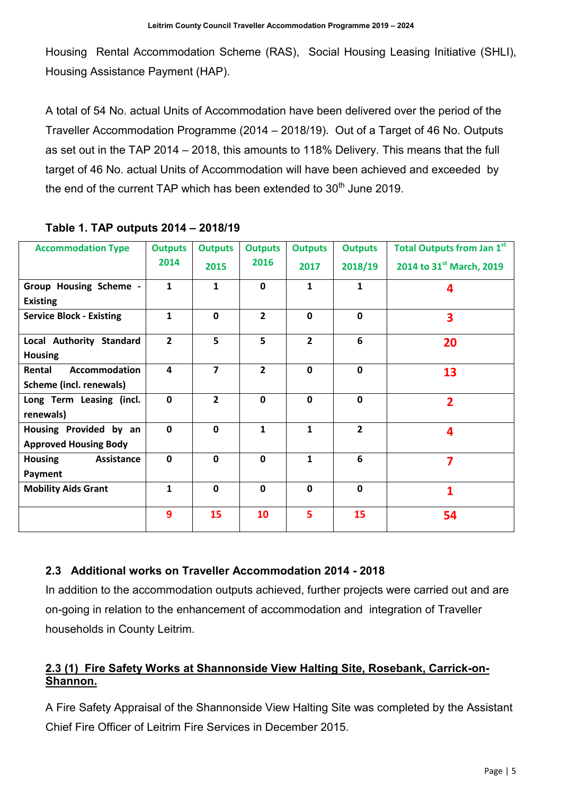Housing Rental Accommodation Scheme (RAS), Social Housing Leasing Initiative (SHLI), Housing Assistance Payment (HAP).

A total of 54 No. actual Units of Accommodation have been delivered over the period of the Traveller Accommodation Programme (2014 – 2018/19). Out of a Target of 46 No. Outputs as set out in the TAP 2014 – 2018, this amounts to 118% Delivery. This means that the full target of 46 No. actual Units of Accommodation will have been achieved and exceeded by the end of the current TAP which has been extended to  $30<sup>th</sup>$  June 2019.

| <b>Accommodation Type</b>       | <b>Outputs</b> | <b>Outputs</b> | <b>Outputs</b> | <b>Outputs</b> | <b>Outputs</b> | <b>Total Outputs from Jan 1st</b> |
|---------------------------------|----------------|----------------|----------------|----------------|----------------|-----------------------------------|
|                                 | 2014           | 2015           | 2016           | 2017           | 2018/19        | 2014 to 31st March, 2019          |
| Group Housing Scheme -          | $\mathbf{1}$   | $\mathbf{1}$   | $\mathbf{0}$   | 1              | 1              | 4                                 |
| <b>Existing</b>                 |                |                |                |                |                |                                   |
| <b>Service Block - Existing</b> | $\mathbf{1}$   | $\mathbf 0$    | $\overline{2}$ | $\mathbf 0$    | $\mathbf 0$    | $\overline{\mathbf{3}}$           |
| Local Authority Standard        | $\overline{2}$ | 5              | 5              | $\overline{2}$ | 6              | 20                                |
| <b>Housing</b>                  |                |                |                |                |                |                                   |
| Rental<br>Accommodation         | 4              | $\overline{7}$ | $\overline{2}$ | $\mathbf{0}$   | $\mathbf 0$    | 13                                |
| <b>Scheme (incl. renewals)</b>  |                |                |                |                |                |                                   |
| Long Term Leasing (incl.        | $\mathbf 0$    | $\overline{2}$ | $\mathbf 0$    | $\mathbf{0}$   | $\mathbf 0$    | $\overline{2}$                    |
| renewals)                       |                |                |                |                |                |                                   |
| Housing Provided by an          | $\Omega$       | $\Omega$       | $\mathbf{1}$   | 1              | $\overline{2}$ | 4                                 |
| <b>Approved Housing Body</b>    |                |                |                |                |                |                                   |
| <b>Housing</b><br>Assistance    | $\mathbf{0}$   | $\mathbf 0$    | $\mathbf{0}$   | $\mathbf{1}$   | 6              | 7                                 |
| Payment                         |                |                |                |                |                |                                   |
| <b>Mobility Aids Grant</b>      | $\mathbf{1}$   | $\mathbf{0}$   | $\mathbf{0}$   | $\Omega$       | $\mathbf 0$    | 1                                 |
|                                 | $\overline{9}$ | 15             | 10             | 5              | 15             | 54                                |

#### **Table 1. TAP outputs 2014 – 2018/19**

#### **2.3 Additional works on Traveller Accommodation 2014 - 2018**

In addition to the accommodation outputs achieved, further projects were carried out and are on-going in relation to the enhancement of accommodation and integration of Traveller households in County Leitrim.

#### **2.3 (1) Fire Safety Works at Shannonside View Halting Site, Rosebank, Carrick-on-Shannon.**

A Fire Safety Appraisal of the Shannonside View Halting Site was completed by the Assistant Chief Fire Officer of Leitrim Fire Services in December 2015.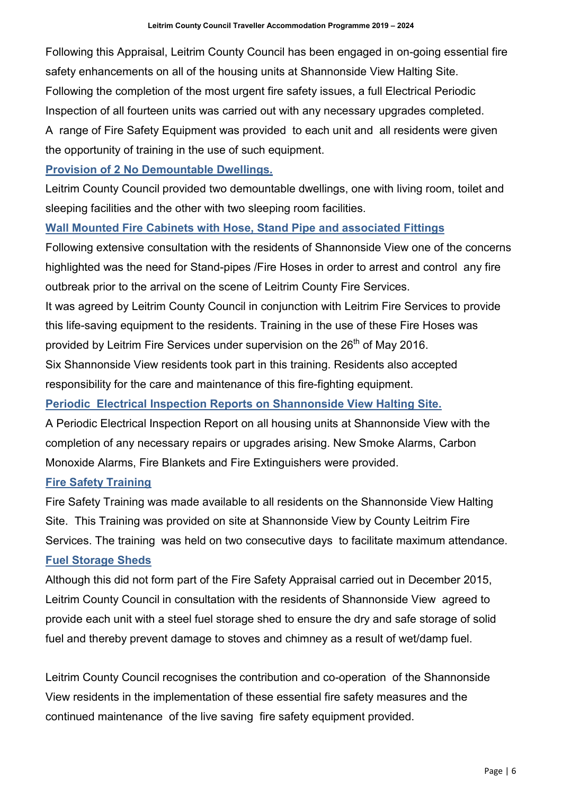Following this Appraisal, Leitrim County Council has been engaged in on-going essential fire safety enhancements on all of the housing units at Shannonside View Halting Site. Following the completion of the most urgent fire safety issues, a full Electrical Periodic Inspection of all fourteen units was carried out with any necessary upgrades completed.

A range of Fire Safety Equipment was provided to each unit and all residents were given the opportunity of training in the use of such equipment.

**Provision of 2 No Demountable Dwellings.** 

Leitrim County Council provided two demountable dwellings, one with living room, toilet and sleeping facilities and the other with two sleeping room facilities.

#### **Wall Mounted Fire Cabinets with Hose, Stand Pipe and associated Fittings**

Following extensive consultation with the residents of Shannonside View one of the concerns highlighted was the need for Stand-pipes /Fire Hoses in order to arrest and control any fire outbreak prior to the arrival on the scene of Leitrim County Fire Services.

It was agreed by Leitrim County Council in conjunction with Leitrim Fire Services to provide this life-saving equipment to the residents. Training in the use of these Fire Hoses was provided by Leitrim Fire Services under supervision on the 26<sup>th</sup> of May 2016.

Six Shannonside View residents took part in this training. Residents also accepted responsibility for the care and maintenance of this fire-fighting equipment.

#### **Periodic Electrical Inspection Reports on Shannonside View Halting Site.**

A Periodic Electrical Inspection Report on all housing units at Shannonside View with the completion of any necessary repairs or upgrades arising. New Smoke Alarms, Carbon Monoxide Alarms, Fire Blankets and Fire Extinguishers were provided.

#### **Fire Safety Training**

Fire Safety Training was made available to all residents on the Shannonside View Halting Site. This Training was provided on site at Shannonside View by County Leitrim Fire Services. The training was held on two consecutive days to facilitate maximum attendance. **Fuel Storage Sheds**

Although this did not form part of the Fire Safety Appraisal carried out in December 2015, Leitrim County Council in consultation with the residents of Shannonside View agreed to provide each unit with a steel fuel storage shed to ensure the dry and safe storage of solid fuel and thereby prevent damage to stoves and chimney as a result of wet/damp fuel.

Leitrim County Council recognises the contribution and co-operation of the Shannonside View residents in the implementation of these essential fire safety measures and the continued maintenance of the live saving fire safety equipment provided.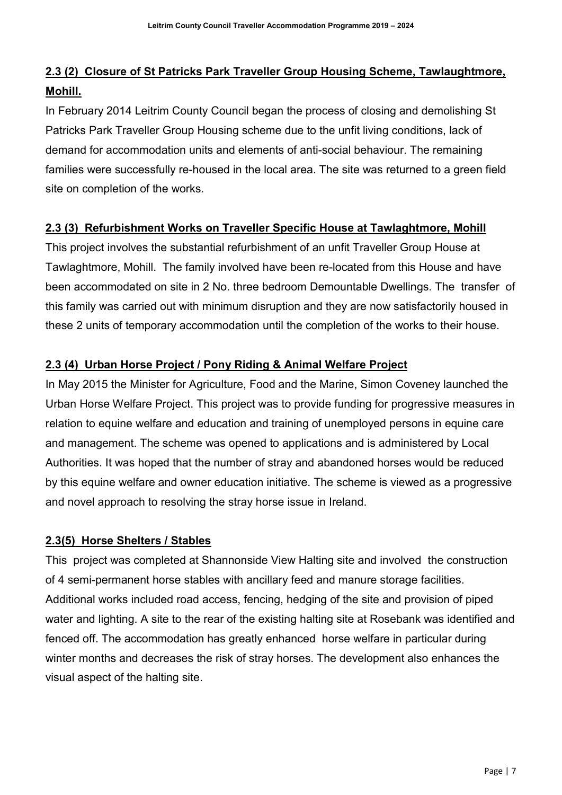## **2.3 (2) Closure of St Patricks Park Traveller Group Housing Scheme, Tawlaughtmore, Mohill.**

In February 2014 Leitrim County Council began the process of closing and demolishing St Patricks Park Traveller Group Housing scheme due to the unfit living conditions, lack of demand for accommodation units and elements of anti-social behaviour. The remaining families were successfully re-housed in the local area. The site was returned to a green field site on completion of the works.

#### **2.3 (3) Refurbishment Works on Traveller Specific House at Tawlaghtmore, Mohill**

This project involves the substantial refurbishment of an unfit Traveller Group House at Tawlaghtmore, Mohill. The family involved have been re-located from this House and have been accommodated on site in 2 No. three bedroom Demountable Dwellings. The transfer of this family was carried out with minimum disruption and they are now satisfactorily housed in these 2 units of temporary accommodation until the completion of the works to their house.

#### **2.3 (4) Urban Horse Project / Pony Riding & Animal Welfare Project**

In May 2015 the Minister for Agriculture, Food and the Marine, Simon Coveney launched the Urban Horse Welfare Project. This project was to provide funding for progressive measures in relation to equine welfare and education and training of unemployed persons in equine care and management. The scheme was opened to applications and is administered by Local Authorities. It was hoped that the number of stray and abandoned horses would be reduced by this equine welfare and owner education initiative. The scheme is viewed as a progressive and novel approach to resolving the stray horse issue in Ireland.

#### **2.3(5) Horse Shelters / Stables**

This project was completed at Shannonside View Halting site and involved the construction of 4 semi-permanent horse stables with ancillary feed and manure storage facilities. Additional works included road access, fencing, hedging of the site and provision of piped water and lighting. A site to the rear of the existing halting site at Rosebank was identified and fenced off. The accommodation has greatly enhanced horse welfare in particular during winter months and decreases the risk of stray horses. The development also enhances the visual aspect of the halting site.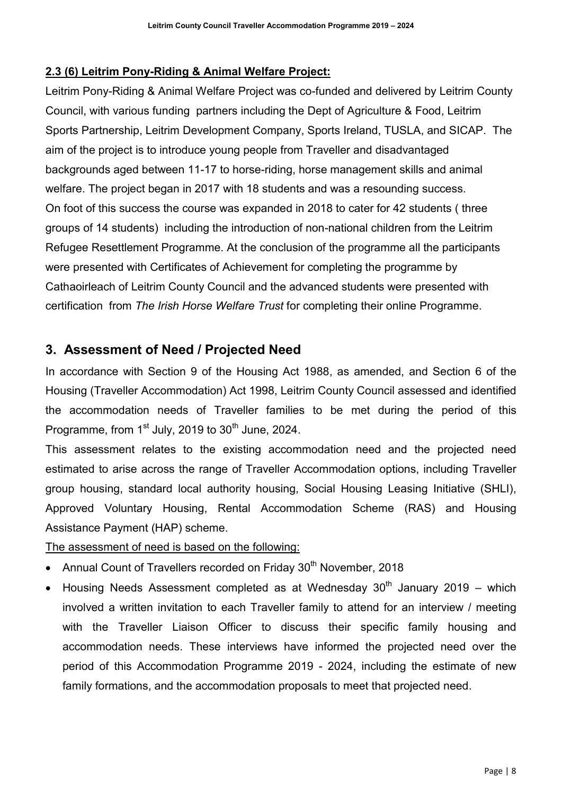#### **2.3 (6) Leitrim Pony-Riding & Animal Welfare Project:**

Leitrim Pony-Riding & Animal Welfare Project was co-funded and delivered by Leitrim County Council, with various funding partners including the Dept of Agriculture & Food, Leitrim Sports Partnership, Leitrim Development Company, Sports Ireland, TUSLA, and SICAP. The aim of the project is to introduce young people from Traveller and disadvantaged backgrounds aged between 11-17 to horse-riding, horse management skills and animal welfare. The project began in 2017 with 18 students and was a resounding success. On foot of this success the course was expanded in 2018 to cater for 42 students ( three groups of 14 students) including the introduction of non-national children from the Leitrim Refugee Resettlement Programme. At the conclusion of the programme all the participants were presented with Certificates of Achievement for completing the programme by Cathaoirleach of Leitrim County Council and the advanced students were presented with certification from *The Irish Horse Welfare Trust* for completing their online Programme.

## **3. Assessment of Need / Projected Need**

In accordance with Section 9 of the Housing Act 1988, as amended, and Section 6 of the Housing (Traveller Accommodation) Act 1998, Leitrim County Council assessed and identified the accommodation needs of Traveller families to be met during the period of this Programme, from  $1<sup>st</sup>$  July, 2019 to  $30<sup>th</sup>$  June, 2024.

This assessment relates to the existing accommodation need and the projected need estimated to arise across the range of Traveller Accommodation options, including Traveller group housing, standard local authority housing, Social Housing Leasing Initiative (SHLI), Approved Voluntary Housing, Rental Accommodation Scheme (RAS) and Housing Assistance Payment (HAP) scheme.

The assessment of need is based on the following:

- Annual Count of Travellers recorded on Friday  $30<sup>th</sup>$  November, 2018
- Housing Needs Assessment completed as at Wednesday  $30<sup>th</sup>$  January 2019 which involved a written invitation to each Traveller family to attend for an interview / meeting with the Traveller Liaison Officer to discuss their specific family housing and accommodation needs. These interviews have informed the projected need over the period of this Accommodation Programme 2019 - 2024, including the estimate of new family formations, and the accommodation proposals to meet that projected need.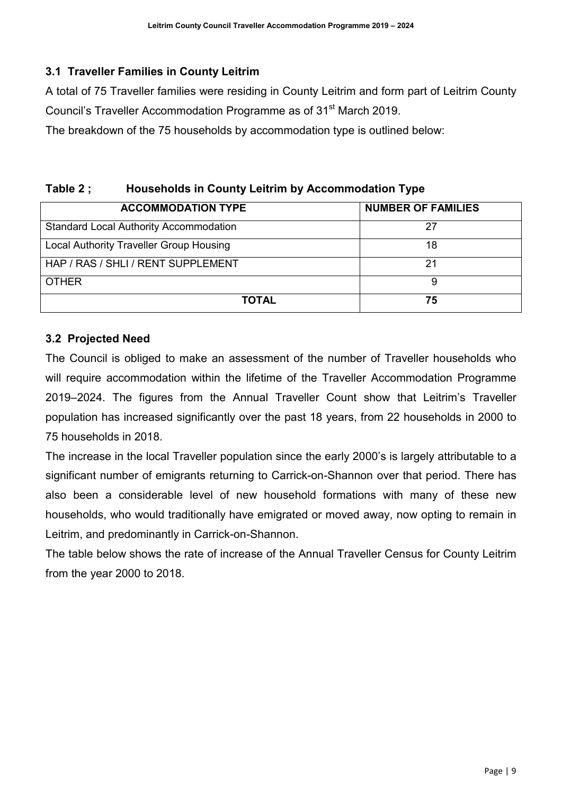#### **3.1 Traveller Families in County Leitrim**

A total of 75 Traveller families were residing in County Leitrim and form part of Leitrim County Council's Traveller Accommodation Programme as of 31<sup>st</sup> March 2019.

The breakdown of the 75 households by accommodation type is outlined below:

## **Table 2 ; Households in County Leitrim by Accommodation Type**

| <b>ACCOMMODATION TYPE</b>                     | <b>NUMBER OF FAMILIES</b> |
|-----------------------------------------------|---------------------------|
| <b>Standard Local Authority Accommodation</b> | 27                        |
| Local Authority Traveller Group Housing       | 18                        |
| HAP / RAS / SHLI / RENT SUPPLEMENT            | 21                        |
| <b>OTHER</b>                                  | 9                         |
| <b>TOTAL</b>                                  | 75                        |

#### **3.2 Projected Need**

The Council is obliged to make an assessment of the number of Traveller households who will require accommodation within the lifetime of the Traveller Accommodation Programme 2019–2024. The figures from the Annual Traveller Count show that Leitrim's Traveller population has increased significantly over the past 18 years, from 22 households in 2000 to 75 households in 2018.

The increase in the local Traveller population since the early 2000's is largely attributable to a significant number of emigrants returning to Carrick-on-Shannon over that period. There has also been a considerable level of new household formations with many of these new households, who would traditionally have emigrated or moved away, now opting to remain in Leitrim, and predominantly in Carrick-on-Shannon.

The table below shows the rate of increase of the Annual Traveller Census for County Leitrim from the year 2000 to 2018.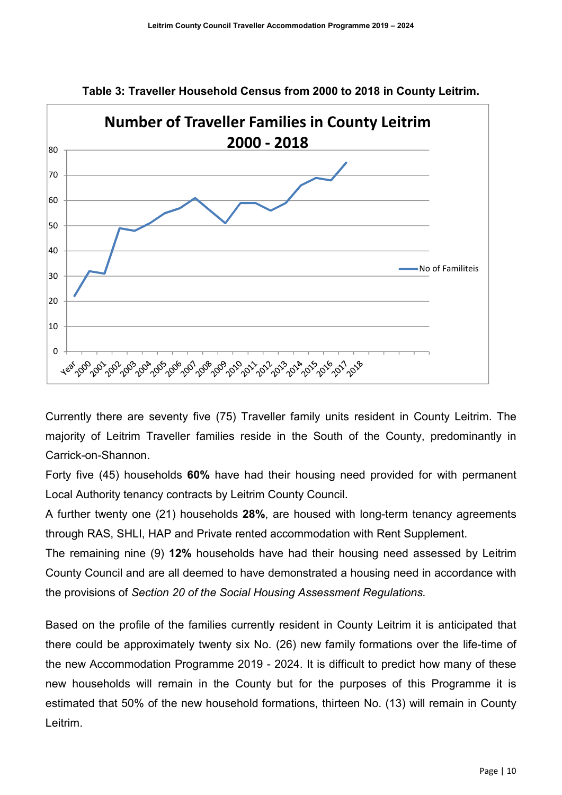

**Table 3: Traveller Household Census from 2000 to 2018 in County Leitrim.**

Currently there are seventy five (75) Traveller family units resident in County Leitrim. The majority of Leitrim Traveller families reside in the South of the County, predominantly in Carrick-on-Shannon.

Forty five (45) households **60%** have had their housing need provided for with permanent Local Authority tenancy contracts by Leitrim County Council.

A further twenty one (21) households **28%**, are housed with long-term tenancy agreements through RAS, SHLI, HAP and Private rented accommodation with Rent Supplement.

The remaining nine (9) **12%** households have had their housing need assessed by Leitrim County Council and are all deemed to have demonstrated a housing need in accordance with the provisions of *Section 20 of the Social Housing Assessment Regulations.*

Based on the profile of the families currently resident in County Leitrim it is anticipated that there could be approximately twenty six No. (26) new family formations over the life-time of the new Accommodation Programme 2019 - 2024. It is difficult to predict how many of these new households will remain in the County but for the purposes of this Programme it is estimated that 50% of the new household formations, thirteen No. (13) will remain in County Leitrim.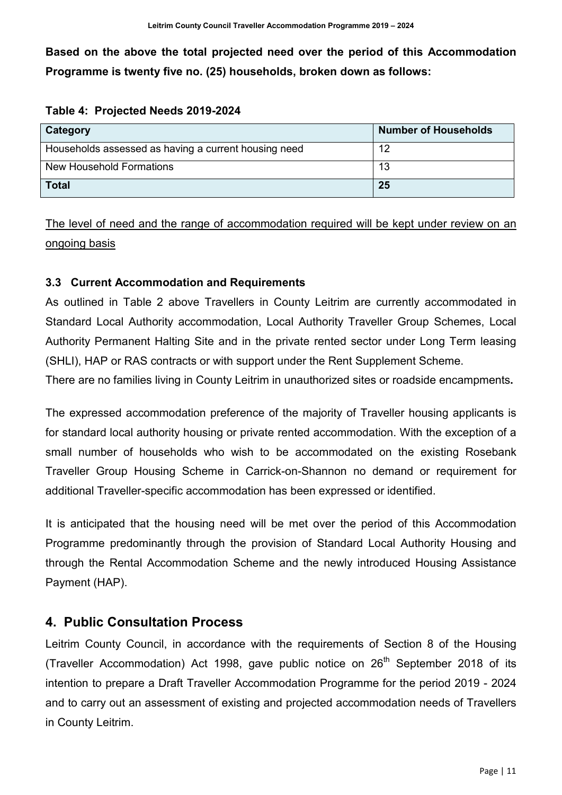**Based on the above the total projected need over the period of this Accommodation Programme is twenty five no. (25) households, broken down as follows:**

| Table 4: Projected Needs 2019-2024 |  |  |  |
|------------------------------------|--|--|--|
|                                    |  |  |  |

| Category                                             | <b>Number of Households</b> |
|------------------------------------------------------|-----------------------------|
| Households assessed as having a current housing need | 12                          |
| New Household Formations                             | 13                          |
| <b>Total</b>                                         | 25                          |

The level of need and the range of accommodation required will be kept under review on an ongoing basis

#### **3.3 Current Accommodation and Requirements**

As outlined in Table 2 above Travellers in County Leitrim are currently accommodated in Standard Local Authority accommodation, Local Authority Traveller Group Schemes, Local Authority Permanent Halting Site and in the private rented sector under Long Term leasing (SHLI), HAP or RAS contracts or with support under the Rent Supplement Scheme.

There are no families living in County Leitrim in unauthorized sites or roadside encampments**.** 

The expressed accommodation preference of the majority of Traveller housing applicants is for standard local authority housing or private rented accommodation. With the exception of a small number of households who wish to be accommodated on the existing Rosebank Traveller Group Housing Scheme in Carrick-on-Shannon no demand or requirement for additional Traveller-specific accommodation has been expressed or identified.

It is anticipated that the housing need will be met over the period of this Accommodation Programme predominantly through the provision of Standard Local Authority Housing and through the Rental Accommodation Scheme and the newly introduced Housing Assistance Payment (HAP).

## **4. Public Consultation Process**

Leitrim County Council, in accordance with the requirements of Section 8 of the Housing (Traveller Accommodation) Act 1998, gave public notice on  $26<sup>th</sup>$  September 2018 of its intention to prepare a Draft Traveller Accommodation Programme for the period 2019 - 2024 and to carry out an assessment of existing and projected accommodation needs of Travellers in County Leitrim.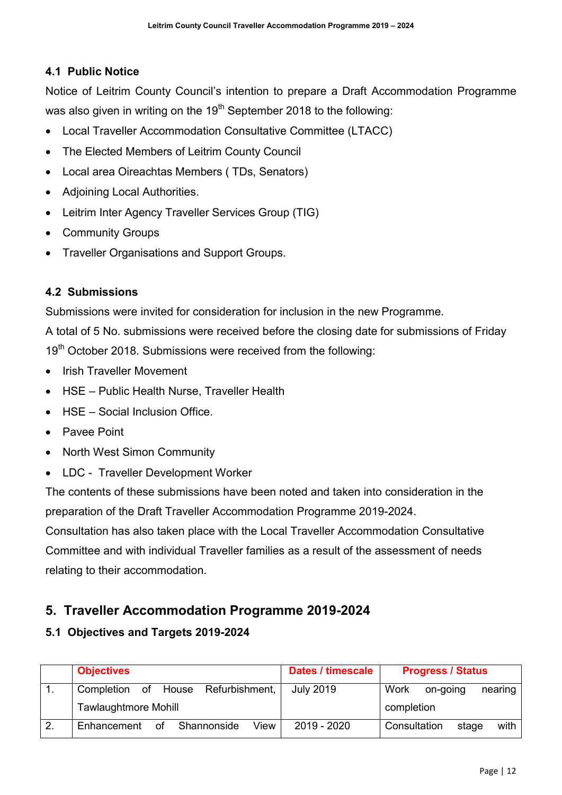#### **4.1 Public Notice**

Notice of Leitrim County Council's intention to prepare a Draft Accommodation Programme was also given in writing on the 19<sup>th</sup> September 2018 to the following:

- Local Traveller Accommodation Consultative Committee (LTACC)
- The Elected Members of Leitrim County Council
- Local area Oireachtas Members ( TDs, Senators)
- Adjoining Local Authorities.
- Leitrim Inter Agency Traveller Services Group (TIG)
- Community Groups
- Traveller Organisations and Support Groups.

#### **4.2 Submissions**

Submissions were invited for consideration for inclusion in the new Programme.

A total of 5 No. submissions were received before the closing date for submissions of Friday 19<sup>th</sup> October 2018. Submissions were received from the following:

- Irish Traveller Movement
- HSE Public Health Nurse, Traveller Health
- HSF Social Inclusion Office
- Pavee Point
- North West Simon Community
- LDC Traveller Development Worker

The contents of these submissions have been noted and taken into consideration in the preparation of the Draft Traveller Accommodation Programme 2019-2024.

Consultation has also taken place with the Local Traveller Accommodation Consultative Committee and with individual Traveller families as a result of the assessment of needs relating to their accommodation.

#### **5. Traveller Accommodation Programme 2019-2024**

#### **5.1 Objectives and Targets 2019-2024**

|    | <b>Objectives</b>                        | Dates / timescale | <b>Progress / Status</b>      |  |  |
|----|------------------------------------------|-------------------|-------------------------------|--|--|
|    | of House Refurbishment,<br>Completion    | <b>July 2019</b>  | Work<br>on-going<br>nearing   |  |  |
|    | <b>Tawlaughtmore Mohill</b>              |                   | completion                    |  |  |
| 2. | Shannonside<br>View<br>0f<br>Enhancement | 2019 - 2020       | Consultation<br>with<br>stage |  |  |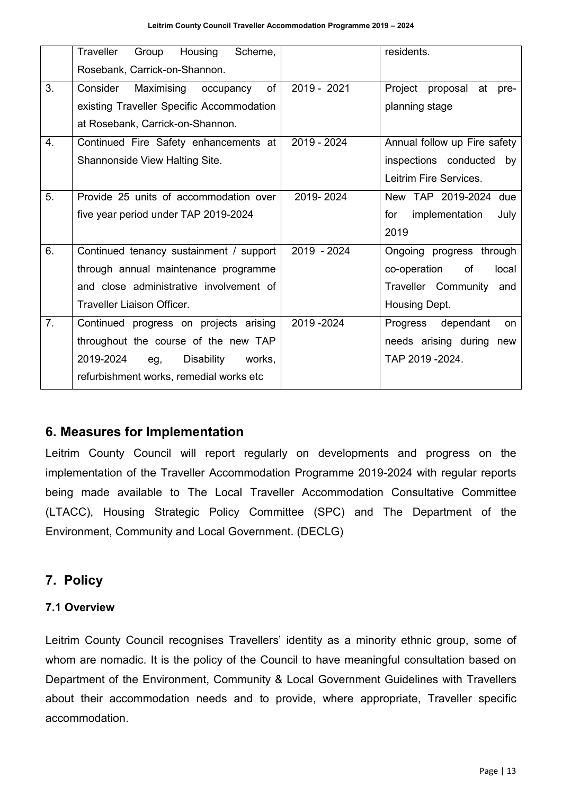|    | <b>Traveller</b><br>Housing<br>Group<br>Scheme, |             | residents.                     |
|----|-------------------------------------------------|-------------|--------------------------------|
|    | Rosebank, Carrick-on-Shannon.                   |             |                                |
| 3. | of<br>Consider<br>Maximising occupancy          | 2019 - 2021 | Project proposal<br>at<br>pre- |
|    | existing Traveller Specific Accommodation       |             | planning stage                 |
|    | at Rosebank, Carrick-on-Shannon.                |             |                                |
| 4. | Continued Fire Safety enhancements at           | 2019 - 2024 | Annual follow up Fire safety   |
|    | Shannonside View Halting Site.                  |             | inspections conducted by       |
|    |                                                 |             | Leitrim Fire Services.         |
| 5. | Provide 25 units of accommodation over          | 2019-2024   | New TAP 2019-2024 due          |
|    | five year period under TAP 2019-2024            |             | implementation<br>July<br>for  |
|    |                                                 |             | 2019                           |
| 6. | Continued tenancy sustainment / support         | 2019 - 2024 | Ongoing progress through       |
|    | through annual maintenance programme            |             | co-operation<br>of<br>local    |
|    | and close administrative involvement of         |             | Traveller Community and        |
|    | <b>Traveller Liaison Officer.</b>               |             | Housing Dept.                  |
| 7. | Continued progress on projects arising          | 2019-2024   | Progress dependant<br>on.      |
|    | throughout the course of the new TAP            |             | needs arising during new       |
|    | 2019-2024<br>Disability<br>works,<br>eg,        |             | TAP 2019 - 2024.               |
|    | refurbishment works, remedial works etc         |             |                                |

#### **6. Measures for Implementation**

Leitrim County Council will report regularly on developments and progress on the implementation of the Traveller Accommodation Programme 2019-2024 with regular reports being made available to The Local Traveller Accommodation Consultative Committee (LTACC), Housing Strategic Policy Committee (SPC) and The Department of the Environment, Community and Local Government. (DECLG)

## **7. Policy**

#### **7.1 Overview**

Leitrim County Council recognises Travellers' identity as a minority ethnic group, some of whom are nomadic. It is the policy of the Council to have meaningful consultation based on Department of the Environment, Community & Local Government Guidelines with Travellers about their accommodation needs and to provide, where appropriate, Traveller specific accommodation.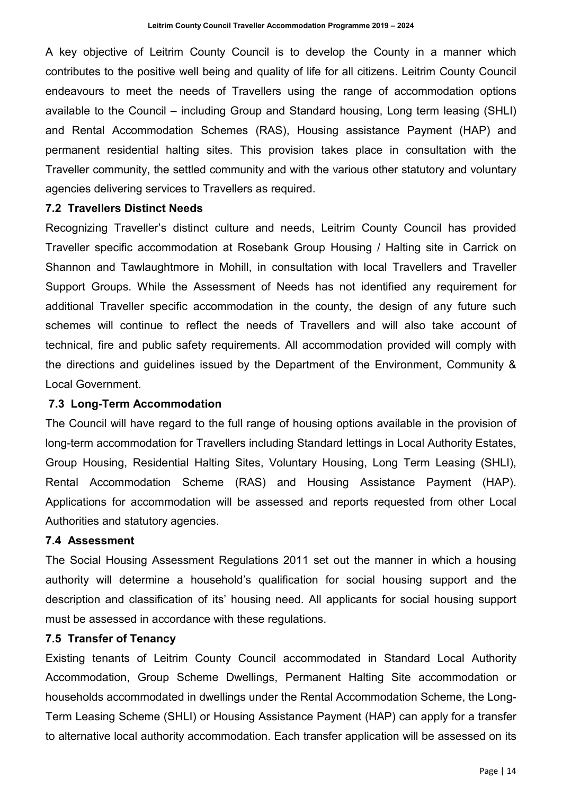A key objective of Leitrim County Council is to develop the County in a manner which contributes to the positive well being and quality of life for all citizens. Leitrim County Council endeavours to meet the needs of Travellers using the range of accommodation options available to the Council – including Group and Standard housing, Long term leasing (SHLI) and Rental Accommodation Schemes (RAS), Housing assistance Payment (HAP) and permanent residential halting sites. This provision takes place in consultation with the Traveller community, the settled community and with the various other statutory and voluntary agencies delivering services to Travellers as required.

#### **7.2 Travellers Distinct Needs**

Recognizing Traveller's distinct culture and needs, Leitrim County Council has provided Traveller specific accommodation at Rosebank Group Housing / Halting site in Carrick on Shannon and Tawlaughtmore in Mohill, in consultation with local Travellers and Traveller Support Groups. While the Assessment of Needs has not identified any requirement for additional Traveller specific accommodation in the county, the design of any future such schemes will continue to reflect the needs of Travellers and will also take account of technical, fire and public safety requirements. All accommodation provided will comply with the directions and guidelines issued by the Department of the Environment, Community & Local Government.

#### **7.3 Long-Term Accommodation**

The Council will have regard to the full range of housing options available in the provision of long-term accommodation for Travellers including Standard lettings in Local Authority Estates, Group Housing, Residential Halting Sites, Voluntary Housing, Long Term Leasing (SHLI), Rental Accommodation Scheme (RAS) and Housing Assistance Payment (HAP). Applications for accommodation will be assessed and reports requested from other Local Authorities and statutory agencies.

#### **7.4 Assessment**

The Social Housing Assessment Regulations 2011 set out the manner in which a housing authority will determine a household's qualification for social housing support and the description and classification of its' housing need. All applicants for social housing support must be assessed in accordance with these regulations.

#### **7.5 Transfer of Tenancy**

Existing tenants of Leitrim County Council accommodated in Standard Local Authority Accommodation, Group Scheme Dwellings, Permanent Halting Site accommodation or households accommodated in dwellings under the Rental Accommodation Scheme, the Long-Term Leasing Scheme (SHLI) or Housing Assistance Payment (HAP) can apply for a transfer to alternative local authority accommodation. Each transfer application will be assessed on its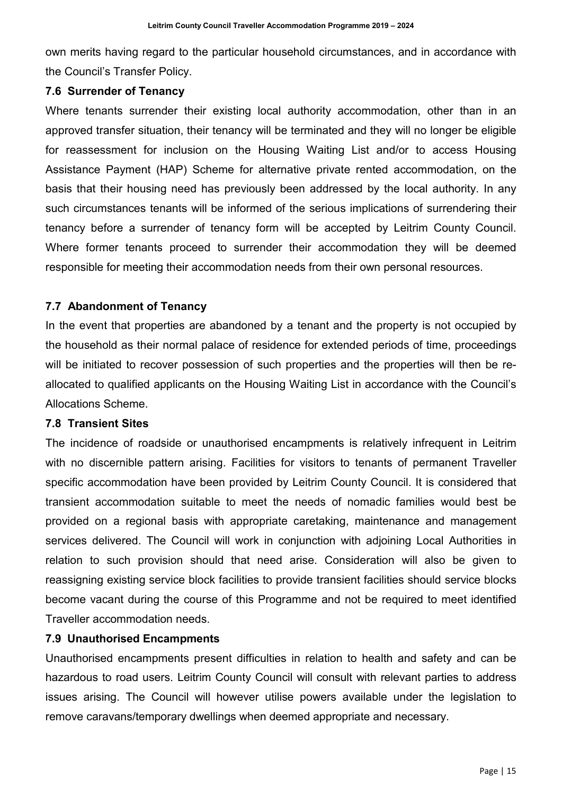own merits having regard to the particular household circumstances, and in accordance with the Council's Transfer Policy.

#### **7.6 Surrender of Tenancy**

Where tenants surrender their existing local authority accommodation, other than in an approved transfer situation, their tenancy will be terminated and they will no longer be eligible for reassessment for inclusion on the Housing Waiting List and/or to access Housing Assistance Payment (HAP) Scheme for alternative private rented accommodation, on the basis that their housing need has previously been addressed by the local authority. In any such circumstances tenants will be informed of the serious implications of surrendering their tenancy before a surrender of tenancy form will be accepted by Leitrim County Council. Where former tenants proceed to surrender their accommodation they will be deemed responsible for meeting their accommodation needs from their own personal resources.

#### **7.7 Abandonment of Tenancy**

In the event that properties are abandoned by a tenant and the property is not occupied by the household as their normal palace of residence for extended periods of time, proceedings will be initiated to recover possession of such properties and the properties will then be reallocated to qualified applicants on the Housing Waiting List in accordance with the Council's Allocations Scheme.

#### **7.8 Transient Sites**

The incidence of roadside or unauthorised encampments is relatively infrequent in Leitrim with no discernible pattern arising. Facilities for visitors to tenants of permanent Traveller specific accommodation have been provided by Leitrim County Council. It is considered that transient accommodation suitable to meet the needs of nomadic families would best be provided on a regional basis with appropriate caretaking, maintenance and management services delivered. The Council will work in conjunction with adjoining Local Authorities in relation to such provision should that need arise. Consideration will also be given to reassigning existing service block facilities to provide transient facilities should service blocks become vacant during the course of this Programme and not be required to meet identified Traveller accommodation needs.

#### **7.9 Unauthorised Encampments**

Unauthorised encampments present difficulties in relation to health and safety and can be hazardous to road users. Leitrim County Council will consult with relevant parties to address issues arising. The Council will however utilise powers available under the legislation to remove caravans/temporary dwellings when deemed appropriate and necessary.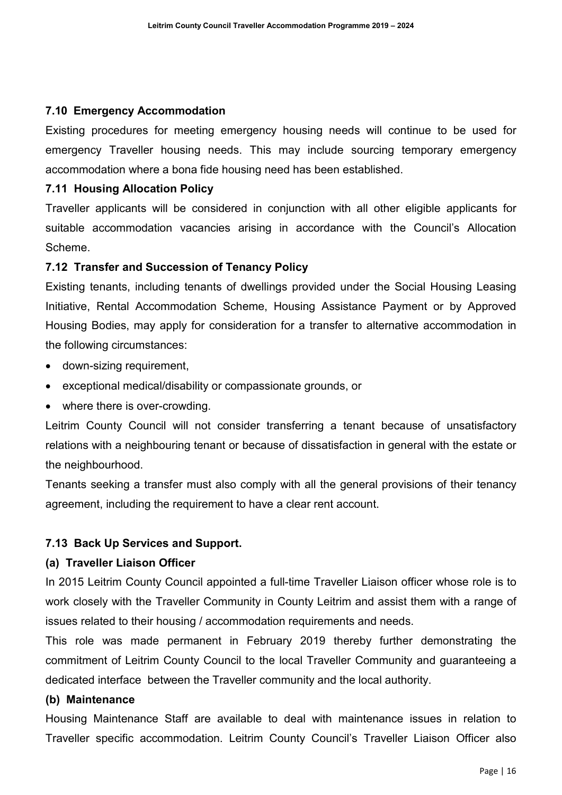#### **7.10 Emergency Accommodation**

Existing procedures for meeting emergency housing needs will continue to be used for emergency Traveller housing needs. This may include sourcing temporary emergency accommodation where a bona fide housing need has been established.

#### **7.11 Housing Allocation Policy**

Traveller applicants will be considered in conjunction with all other eligible applicants for suitable accommodation vacancies arising in accordance with the Council's Allocation Scheme.

#### **7.12 Transfer and Succession of Tenancy Policy**

Existing tenants, including tenants of dwellings provided under the Social Housing Leasing Initiative, Rental Accommodation Scheme, Housing Assistance Payment or by Approved Housing Bodies, may apply for consideration for a transfer to alternative accommodation in the following circumstances:

- down-sizing requirement,
- exceptional medical/disability or compassionate grounds, or
- where there is over-crowding.

Leitrim County Council will not consider transferring a tenant because of unsatisfactory relations with a neighbouring tenant or because of dissatisfaction in general with the estate or the neighbourhood.

Tenants seeking a transfer must also comply with all the general provisions of their tenancy agreement, including the requirement to have a clear rent account.

#### **7.13 Back Up Services and Support.**

#### **(a) Traveller Liaison Officer**

In 2015 Leitrim County Council appointed a full-time Traveller Liaison officer whose role is to work closely with the Traveller Community in County Leitrim and assist them with a range of issues related to their housing / accommodation requirements and needs.

This role was made permanent in February 2019 thereby further demonstrating the commitment of Leitrim County Council to the local Traveller Community and guaranteeing a dedicated interface between the Traveller community and the local authority.

#### **(b) Maintenance**

Housing Maintenance Staff are available to deal with maintenance issues in relation to Traveller specific accommodation. Leitrim County Council's Traveller Liaison Officer also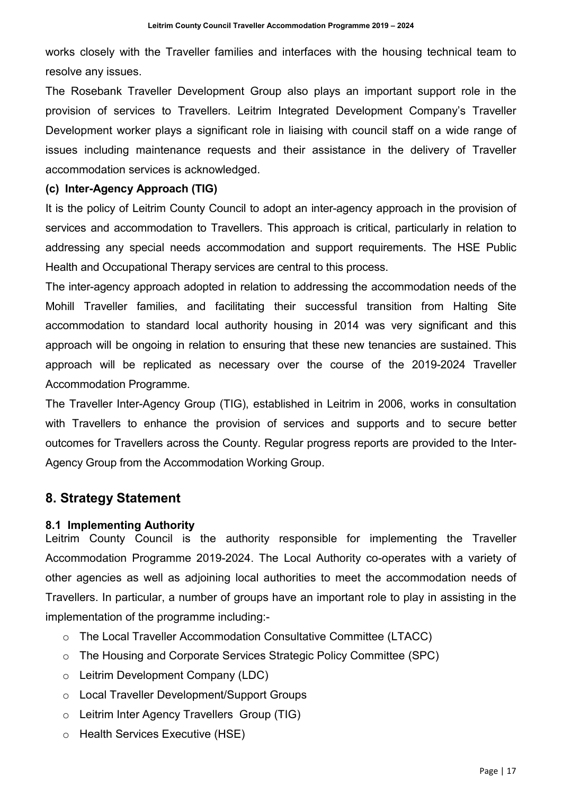works closely with the Traveller families and interfaces with the housing technical team to resolve any issues.

The Rosebank Traveller Development Group also plays an important support role in the provision of services to Travellers. Leitrim Integrated Development Company's Traveller Development worker plays a significant role in liaising with council staff on a wide range of issues including maintenance requests and their assistance in the delivery of Traveller accommodation services is acknowledged.

#### **(c) Inter-Agency Approach (TIG)**

It is the policy of Leitrim County Council to adopt an inter-agency approach in the provision of services and accommodation to Travellers. This approach is critical, particularly in relation to addressing any special needs accommodation and support requirements. The HSE Public Health and Occupational Therapy services are central to this process.

The inter-agency approach adopted in relation to addressing the accommodation needs of the Mohill Traveller families, and facilitating their successful transition from Halting Site accommodation to standard local authority housing in 2014 was very significant and this approach will be ongoing in relation to ensuring that these new tenancies are sustained. This approach will be replicated as necessary over the course of the 2019-2024 Traveller Accommodation Programme.

The Traveller Inter-Agency Group (TIG), established in Leitrim in 2006, works in consultation with Travellers to enhance the provision of services and supports and to secure better outcomes for Travellers across the County. Regular progress reports are provided to the Inter-Agency Group from the Accommodation Working Group.

#### **8. Strategy Statement**

#### **8.1 Implementing Authority**

Leitrim County Council is the authority responsible for implementing the Traveller Accommodation Programme 2019-2024. The Local Authority co-operates with a variety of other agencies as well as adjoining local authorities to meet the accommodation needs of Travellers. In particular, a number of groups have an important role to play in assisting in the implementation of the programme including:-

- o The Local Traveller Accommodation Consultative Committee (LTACC)
- o The Housing and Corporate Services Strategic Policy Committee (SPC)
- o Leitrim Development Company (LDC)
- o Local Traveller Development/Support Groups
- o Leitrim Inter Agency Travellers Group (TIG)
- o Health Services Executive (HSE)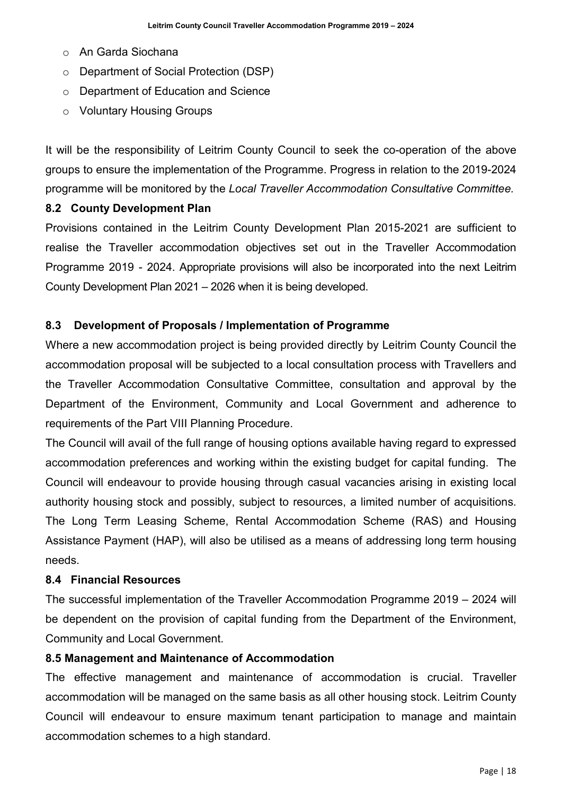- o An Garda Siochana
- o Department of Social Protection (DSP)
- o Department of Education and Science
- o Voluntary Housing Groups

It will be the responsibility of Leitrim County Council to seek the co-operation of the above groups to ensure the implementation of the Programme. Progress in relation to the 2019-2024 programme will be monitored by the *Local Traveller Accommodation Consultative Committee.*

#### **8.2 County Development Plan**

Provisions contained in the Leitrim County Development Plan 2015-2021 are sufficient to realise the Traveller accommodation objectives set out in the Traveller Accommodation Programme 2019 - 2024. Appropriate provisions will also be incorporated into the next Leitrim County Development Plan 2021 – 2026 when it is being developed.

#### **8.3 Development of Proposals / Implementation of Programme**

Where a new accommodation project is being provided directly by Leitrim County Council the accommodation proposal will be subjected to a local consultation process with Travellers and the Traveller Accommodation Consultative Committee, consultation and approval by the Department of the Environment, Community and Local Government and adherence to requirements of the Part VIII Planning Procedure.

The Council will avail of the full range of housing options available having regard to expressed accommodation preferences and working within the existing budget for capital funding. The Council will endeavour to provide housing through casual vacancies arising in existing local authority housing stock and possibly, subject to resources, a limited number of acquisitions. The Long Term Leasing Scheme, Rental Accommodation Scheme (RAS) and Housing Assistance Payment (HAP), will also be utilised as a means of addressing long term housing needs.

#### **8.4 Financial Resources**

The successful implementation of the Traveller Accommodation Programme 2019 – 2024 will be dependent on the provision of capital funding from the Department of the Environment, Community and Local Government.

#### **8.5 Management and Maintenance of Accommodation**

The effective management and maintenance of accommodation is crucial. Traveller accommodation will be managed on the same basis as all other housing stock. Leitrim County Council will endeavour to ensure maximum tenant participation to manage and maintain accommodation schemes to a high standard.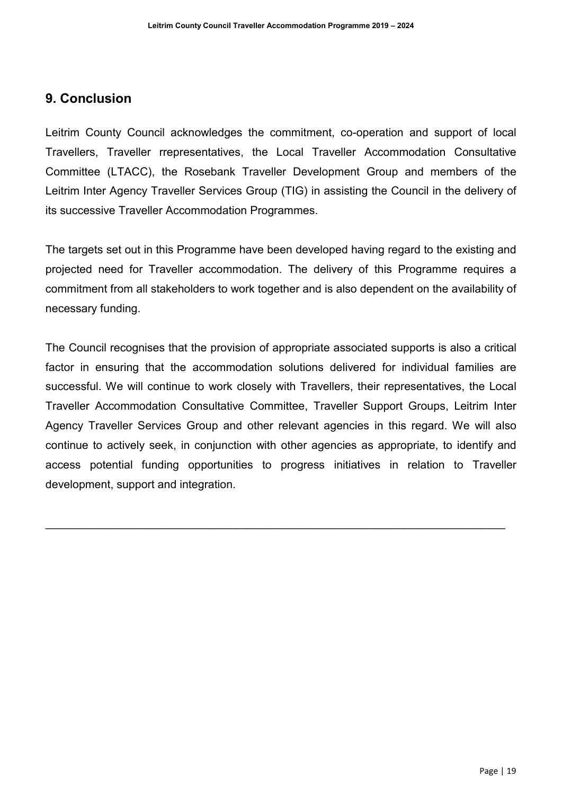## **9. Conclusion**

Leitrim County Council acknowledges the commitment, co-operation and support of local Travellers, Traveller rrepresentatives, the Local Traveller Accommodation Consultative Committee (LTACC), the Rosebank Traveller Development Group and members of the Leitrim Inter Agency Traveller Services Group (TIG) in assisting the Council in the delivery of its successive Traveller Accommodation Programmes.

The targets set out in this Programme have been developed having regard to the existing and projected need for Traveller accommodation. The delivery of this Programme requires a commitment from all stakeholders to work together and is also dependent on the availability of necessary funding.

The Council recognises that the provision of appropriate associated supports is also a critical factor in ensuring that the accommodation solutions delivered for individual families are successful. We will continue to work closely with Travellers, their representatives, the Local Traveller Accommodation Consultative Committee, Traveller Support Groups, Leitrim Inter Agency Traveller Services Group and other relevant agencies in this regard. We will also continue to actively seek, in conjunction with other agencies as appropriate, to identify and access potential funding opportunities to progress initiatives in relation to Traveller development, support and integration.

 $\_$  , and the set of the set of the set of the set of the set of the set of the set of the set of the set of the set of the set of the set of the set of the set of the set of the set of the set of the set of the set of th